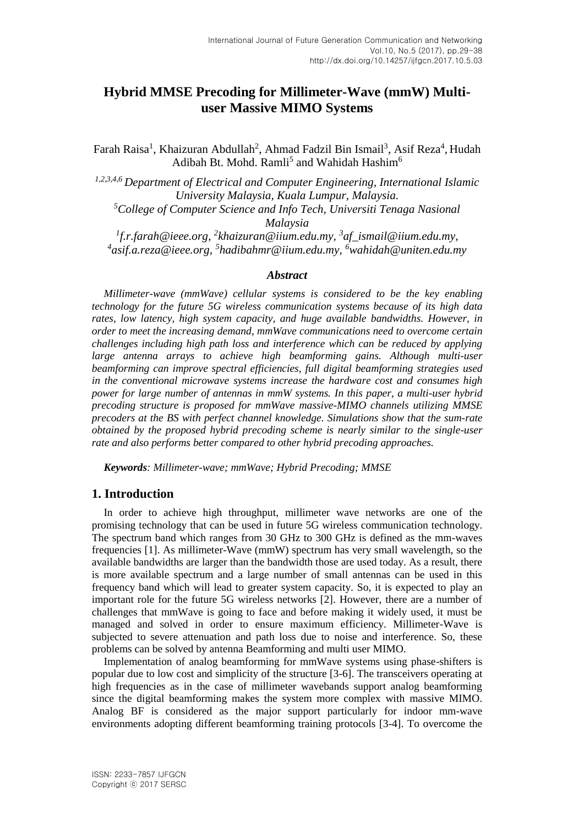# **Hybrid MMSE Precoding for Millimeter-Wave (mmW) Multiuser Massive MIMO Systems**

Farah Raisa<sup>1</sup>, Khaizuran Abdullah<sup>2</sup>, Ahmad Fadzil Bin Ismail<sup>3</sup>, Asif Reza<sup>4</sup>, Hudah Adibah Bt. Mohd. Ramli<sup>5</sup> and Wahidah Hashim<sup>6</sup>

*1,2,3,4,6 Department of Electrical and Computer Engineering, International Islamic University Malaysia, Kuala Lumpur, Malaysia. <sup>5</sup>College of Computer Science and Info Tech, Universiti Tenaga Nasional* 

*Malaysia*

*1 f.r.farah@ieee.org, 2 khaizuran@iium.edu.my, 3 af\_ismail@iium.edu.my, 4 asif.a.reza@ieee.org, 5 hadibahmr@iium.edu.my, <sup>6</sup>wahidah@uniten.edu.my*

#### *Abstract*

*Millimeter-wave (mmWave) cellular systems is considered to be the key enabling technology for the future 5G wireless communication systems because of its high data rates, low latency, high system capacity, and huge available bandwidths. However, in order to meet the increasing demand, mmWave communications need to overcome certain challenges including high path loss and interference which can be reduced by applying large antenna arrays to achieve high beamforming gains. Although multi-user beamforming can improve spectral efficiencies, full digital beamforming strategies used in the conventional microwave systems increase the hardware cost and consumes high power for large number of antennas in mmW systems. In this paper, a multi-user hybrid precoding structure is proposed for mmWave massive-MIMO channels utilizing MMSE precoders at the BS with perfect channel knowledge. Simulations show that the sum-rate obtained by the proposed hybrid precoding scheme is nearly similar to the single-user rate and also performs better compared to other hybrid precoding approaches.*

*Keywords: Millimeter-wave; mmWave; Hybrid Precoding; MMSE*

# **1. Introduction**

In order to achieve high throughput, millimeter wave networks are one of the promising technology that can be used in future 5G wireless communication technology. The spectrum band which ranges from 30 GHz to 300 GHz is defined as the mm-waves frequencies [1]. As millimeter-Wave (mmW) spectrum has very small wavelength, so the available bandwidths are larger than the bandwidth those are used today. As a result, there is more available spectrum and a large number of small antennas can be used in this frequency band which will lead to greater system capacity. So, it is expected to play an important role for the future 5G wireless networks [2]. However, there are a number of challenges that mmWave is going to face and before making it widely used, it must be managed and solved in order to ensure maximum efficiency. Millimeter-Wave is subjected to severe attenuation and path loss due to noise and interference. So, these problems can be solved by antenna Beamforming and multi user MIMO.

Implementation of analog beamforming for mmWave systems using phase-shifters is popular due to low cost and simplicity of the structure [3-6]. The transceivers operating at high frequencies as in the case of millimeter wavebands support analog beamforming since the digital beamforming makes the system more complex with massive MIMO. Analog BF is considered as the major support particularly for indoor mm-wave environments adopting different beamforming training protocols [3-4]. To overcome the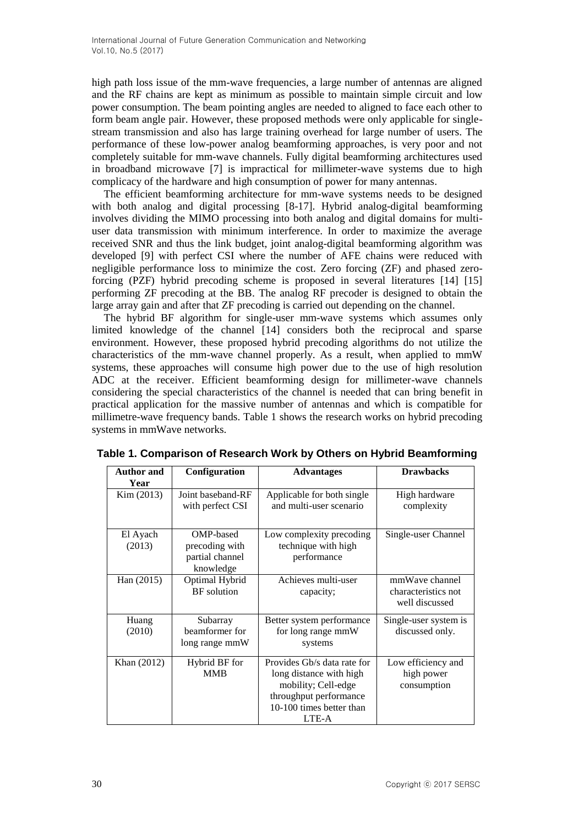high path loss issue of the mm-wave frequencies, a large number of antennas are aligned and the RF chains are kept as minimum as possible to maintain simple circuit and low power consumption. The beam pointing angles are needed to aligned to face each other to form beam angle pair. However, these proposed methods were only applicable for singlestream transmission and also has large training overhead for large number of users. The performance of these low-power analog beamforming approaches, is very poor and not completely suitable for mm-wave channels. Fully digital beamforming architectures used in broadband microwave [7] is impractical for millimeter-wave systems due to high complicacy of the hardware and high consumption of power for many antennas.

The efficient beamforming architecture for mm-wave systems needs to be designed with both analog and digital processing [8-17]. Hybrid analog-digital beamforming involves dividing the MIMO processing into both analog and digital domains for multiuser data transmission with minimum interference. In order to maximize the average received SNR and thus the link budget, joint analog-digital beamforming algorithm was developed [9] with perfect CSI where the number of AFE chains were reduced with negligible performance loss to minimize the cost. Zero forcing (ZF) and phased zeroforcing (PZF) hybrid precoding scheme is proposed in several literatures [14] [15] performing ZF precoding at the BB. The analog RF precoder is designed to obtain the large array gain and after that ZF precoding is carried out depending on the channel.

The hybrid BF algorithm for single-user mm-wave systems which assumes only limited knowledge of the channel [14] considers both the reciprocal and sparse environment. However, these proposed hybrid precoding algorithms do not utilize the characteristics of the mm-wave channel properly. As a result, when applied to mmW systems, these approaches will consume high power due to the use of high resolution ADC at the receiver. Efficient beamforming design for millimeter-wave channels considering the special characteristics of the channel is needed that can bring benefit in practical application for the massive number of antennas and which is compatible for millimetre-wave frequency bands. Table 1 shows the research works on hybrid precoding systems in mmWave networks.

| <b>Author and</b><br>Year | Configuration                                               | <b>Advantages</b>                                                                                                                            | <b>Drawbacks</b>                                        |
|---------------------------|-------------------------------------------------------------|----------------------------------------------------------------------------------------------------------------------------------------------|---------------------------------------------------------|
| Kim (2013)                | Joint baseband-RF<br>with perfect CSI                       | Applicable for both single<br>and multi-user scenario                                                                                        | High hardware<br>complexity                             |
| El Ayach<br>(2013)        | OMP-based<br>precoding with<br>partial channel<br>knowledge | Low complexity precoding<br>technique with high<br>performance                                                                               | Single-user Channel                                     |
| Han (2015)                | Optimal Hybrid<br><b>BF</b> solution                        | Achieves multi-user<br>capacity;                                                                                                             | mmWaye channel<br>characteristics not<br>well discussed |
| Huang<br>(2010)           | Subarray<br>beamformer for<br>long range mmW                | Better system performance<br>for long range mmW<br>systems                                                                                   | Single-user system is<br>discussed only.                |
| Khan (2012)               | Hybrid BF for<br><b>MMB</b>                                 | Provides Gb/s data rate for<br>long distance with high<br>mobility; Cell-edge<br>throughput performance<br>10-100 times better than<br>LTE-A | Low efficiency and<br>high power<br>consumption         |

**Table 1. Comparison of Research Work by Others on Hybrid Beamforming**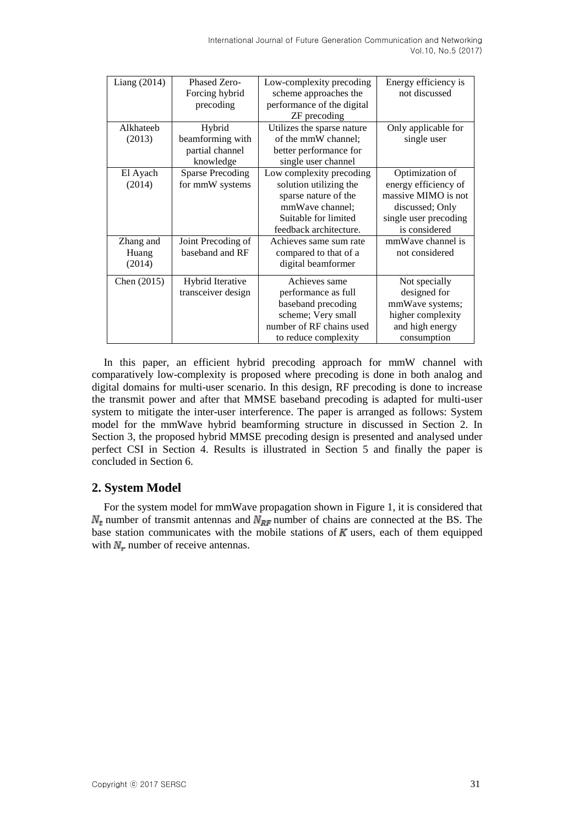| Liang $(2014)$ | Phased Zero-            | Low-complexity precoding   | Energy efficiency is  |
|----------------|-------------------------|----------------------------|-----------------------|
|                | Forcing hybrid          | scheme approaches the      | not discussed         |
|                | precoding               | performance of the digital |                       |
|                |                         | ZF precoding               |                       |
| Alkhateeb      | Hybrid                  | Utilizes the sparse nature | Only applicable for   |
| (2013)         | beamforming with        | of the mmW channel;        | single user           |
|                | partial channel         | better performance for     |                       |
|                | knowledge               | single user channel        |                       |
| El Ayach       | <b>Sparse Precoding</b> | Low complexity precoding   | Optimization of       |
| (2014)         | for mmW systems         | solution utilizing the     | energy efficiency of  |
|                |                         | sparse nature of the       | massive MIMO is not   |
|                |                         | mmWave channel;            | discussed; Only       |
|                |                         | Suitable for limited       | single user precoding |
|                |                         | feedback architecture.     | is considered         |
| Zhang and      | Joint Precoding of      | Achieves same sum rate     | mmWave channel is     |
| Huang          | baseband and RF         | compared to that of a      | not considered        |
| (2014)         |                         | digital beamformer         |                       |
| Chen (2015)    | Hybrid Iterative        | Achieves same              | Not specially         |
|                | transceiver design      | performance as full        | designed for          |
|                |                         | baseband precoding         | mmWave systems;       |
|                |                         | scheme; Very small         | higher complexity     |
|                |                         | number of RF chains used   | and high energy       |
|                |                         | to reduce complexity       | consumption           |

In this paper, an efficient hybrid precoding approach for mmW channel with comparatively low-complexity is proposed where precoding is done in both analog and digital domains for multi-user scenario. In this design, RF precoding is done to increase the transmit power and after that MMSE baseband precoding is adapted for multi-user system to mitigate the inter-user interference. The paper is arranged as follows: System model for the mmWave hybrid beamforming structure in discussed in Section 2. In Section 3, the proposed hybrid MMSE precoding design is presented and analysed under perfect CSI in Section 4. Results is illustrated in Section 5 and finally the paper is concluded in Section 6.

# **2. System Model**

For the system model for mmWave propagation shown in Figure 1, it is considered that  $N_t$  number of transmit antennas and  $N_{RF}$  number of chains are connected at the BS. The base station communicates with the mobile stations of  $\boldsymbol{K}$  users, each of them equipped with  $N_r$  number of receive antennas.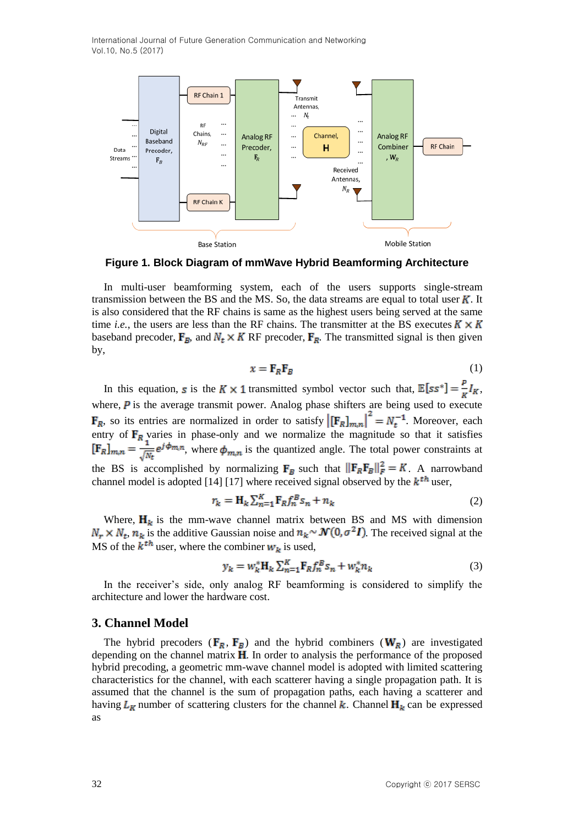

**Figure 1. Block Diagram of mmWave Hybrid Beamforming Architecture**

In multi-user beamforming system, each of the users supports single-stream transmission between the BS and the MS. So, the data streams are equal to total user  $K$ . It is also considered that the RF chains is same as the highest users being served at the same time *i.e.*, the users are less than the RF chains. The transmitter at the BS executes  $K \times K$ baseband precoder,  $\mathbf{F}_R$ , and  $N_t \times K$  RF precoder,  $\mathbf{F}_R$ . The transmitted signal is then given by,

$$
x = \mathbf{F}_R \mathbf{F}_B \tag{1}
$$

In this equation, s is the  $K \times 1$  transmitted symbol vector such that,  $\mathbb{E}[ss^*] = \frac{P}{k} I_K$ , where,  $\vec{P}$  is the average transmit power. Analog phase shifters are being used to execute , so its entries are normalized in order to satisfy  $\left[\mathbf{F}_R\right]_{m,n}\right] = N_t^{-1}$ . Moreover, each entry of  $F_R$  varies in phase-only and we normalize the magnitude so that it satisfies , where  $\phi_{mn}$  is the quantized angle. The total power constraints at the BS is accomplished by normalizing  $\mathbf{F}_B$  such that  $\|\mathbf{F}_R\mathbf{F}_B\|_F^2 = K$ . A narrowband channel model is adopted [14] [17] where received signal observed by the  $k<sup>th</sup>$  user,

$$
r_k = \mathbf{H}_k \sum_{n=1}^K \mathbf{F}_R f_n^B s_n + n_k \tag{2}
$$

Where,  $H_k$  is the mm-wave channel matrix between BS and MS with dimension  $N_r \times N_t$ ,  $n_k$  is the additive Gaussian noise and  $n_k \sim \mathcal{N}(0, \sigma^2 I)$ . The received signal at the MS of the  $k^{th}$  user, where the combiner  $w_k$  is used,

$$
y_k = w_k^* \mathbf{H}_k \sum_{n=1}^K \mathbf{F}_R f_n^B s_n + w_k^* n_k \tag{3}
$$

In the receiver's side, only analog RF beamforming is considered to simplify the architecture and lower the hardware cost.

## **3. Channel Model**

The hybrid precoders ( $\mathbf{F}_R$ ,  $\mathbf{F}_B$ ) and the hybrid combiners ( $\mathbf{W}_R$ ) are investigated depending on the channel matrix  $\bf{H}$ . In order to analysis the performance of the proposed hybrid precoding, a geometric mm-wave channel model is adopted with limited scattering characteristics for the channel, with each scatterer having a single propagation path. It is assumed that the channel is the sum of propagation paths, each having a scatterer and having  $L_K$  number of scattering clusters for the channel  $k$ . Channel  $H_k$  can be expressed as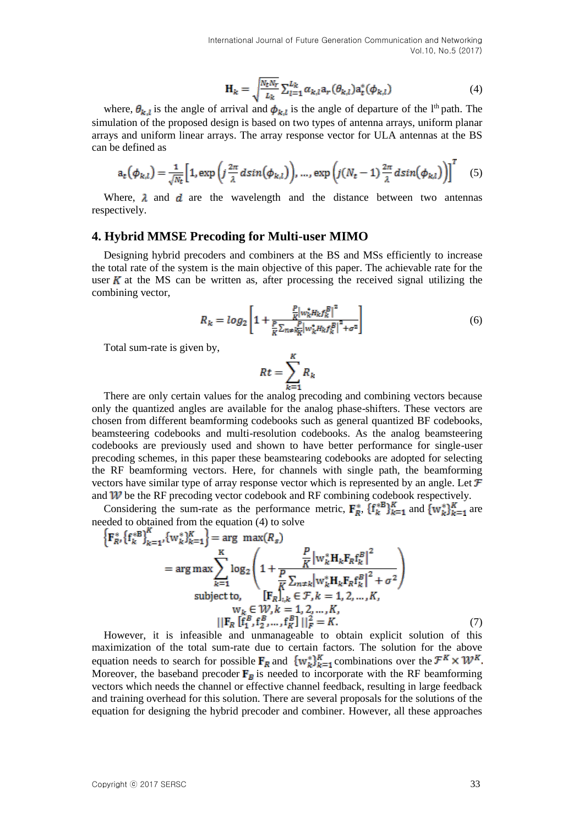$$
\mathbf{H}_k = \sqrt{\frac{N_t N_r}{L_k}} \sum_{l=1}^{L_k} \alpha_{k,l} a_r(\theta_{k,l}) a_t^*(\phi_{k,l})
$$
(4)

where,  $\theta_{k,l}$  is the angle of arrival and  $\phi_{k,l}$  is the angle of departure of the l<sup>th</sup> path. The simulation of the proposed design is based on two types of antenna arrays, uniform planar arrays and uniform linear arrays. The array response vector for ULA antennas at the BS can be defined as

$$
a_t(\phi_{k,l}) = \frac{1}{\sqrt{N_t}} \Big[ 1, \exp\Big(j\frac{2\pi}{\lambda}d\sin(\phi_{k,l})\Big), \dots, \exp\Big(j(N_t-1)\frac{2\pi}{\lambda}d\sin(\phi_{k,l})\Big) \Big]^T \tag{5}
$$

Where,  $\lambda$  and  $\boldsymbol{d}$  are the wavelength and the distance between two antennas respectively.

#### **4. Hybrid MMSE Precoding for Multi-user MIMO**

Designing hybrid precoders and combiners at the BS and MSs efficiently to increase the total rate of the system is the main objective of this paper. The achievable rate for the user  $K$  at the MS can be written as, after processing the received signal utilizing the combining vector,

$$
R_k = \log_2 \left[ 1 + \frac{\frac{P}{K} \left| w_k^* H_k f_k^B \right|^2}{\frac{P}{K} \sum_{n \neq k_K} \left| w_k^* H_k f_k^B \right|^2 + \sigma^2} \right] \tag{6}
$$

Total sum-rate is given by,

$$
Rt = \sum_{k=1}^{K} R_k
$$

There are only certain values for the analog precoding and combining vectors because only the quantized angles are available for the analog phase-shifters. These vectors are chosen from different beamforming codebooks such as general quantized BF codebooks, beamsteering codebooks and multi-resolution codebooks. As the analog beamsteering codebooks are previously used and shown to have better performance for single-user precoding schemes, in this paper these beamstearing codebooks are adopted for selecting the RF beamforming vectors. Here, for channels with single path, the beamforming vectors have similar type of array response vector which is represented by an angle. Let  $\mathcal F$ and  $W$  be the RF precoding vector codebook and RF combining codebook respectively.

Considering the sum-rate as the performance metric,  $\mathbf{F}_R^*$ ,  $\{\mathbf{f}_k^{*B}\}_{k=1}^K$  and  $\{\mathbf{w}_k^*\}_{k=1}^K$  are needed to obtained from the equation (4) to solve

$$
\left\{ \mathbf{F}_{R}^{*} \left\{ \mathbf{f}_{k}^{*} \mathbf{B} \right\}_{k=1}^{K}, \left\{ \mathbf{w}_{k}^{*} \right\}_{k=1}^{K} \right\} = \arg \max (R_{s})
$$
\n
$$
= \arg \max \sum_{k=1}^{K} \log_{2} \left( 1 + \frac{\frac{P}{K} \left| \mathbf{w}_{k}^{*} \mathbf{H}_{k} \mathbf{F}_{R} \mathbf{f}_{k}^{B} \right|^{2}}{\frac{P}{K} \sum_{n \neq k} \left| \mathbf{w}_{k}^{*} \mathbf{H}_{k} \mathbf{F}_{R} \mathbf{f}_{k}^{B} \right|^{2} + \sigma^{2}} \right)
$$
\nsubject to,\n
$$
\left\{ \mathbf{F}_{R} \right\}_{i,k} \in \mathcal{F}, k = 1, 2, ..., K,
$$
\n
$$
\mathbf{w}_{k} \in \mathcal{W}, k = 1, 2, ..., K,
$$
\n
$$
\left\| \mathbf{F}_{R} \left[ \mathbf{f}_{1}^{B}, \mathbf{f}_{2}^{B}, ..., \mathbf{f}_{k}^{B} \right] \right\|_{F}^{2} = K.
$$
\n(7)

However, it is infeasible and unmanageable to obtain explicit solution of this maximization of the total sum-rate due to certain factors. The solution for the above equation needs to search for possible  $\mathbf{F}_R$  and  $\{w_k^*\}_{k=1}^K$  combinations over the  $\mathcal{F}^K \times \mathcal{W}^K$ . Moreover, the baseband precoder  $\mathbf{F}_p$  is needed to incorporate with the RF beamforming vectors which needs the channel or effective channel feedback, resulting in large feedback and training overhead for this solution. There are several proposals for the solutions of the equation for designing the hybrid precoder and combiner. However, all these approaches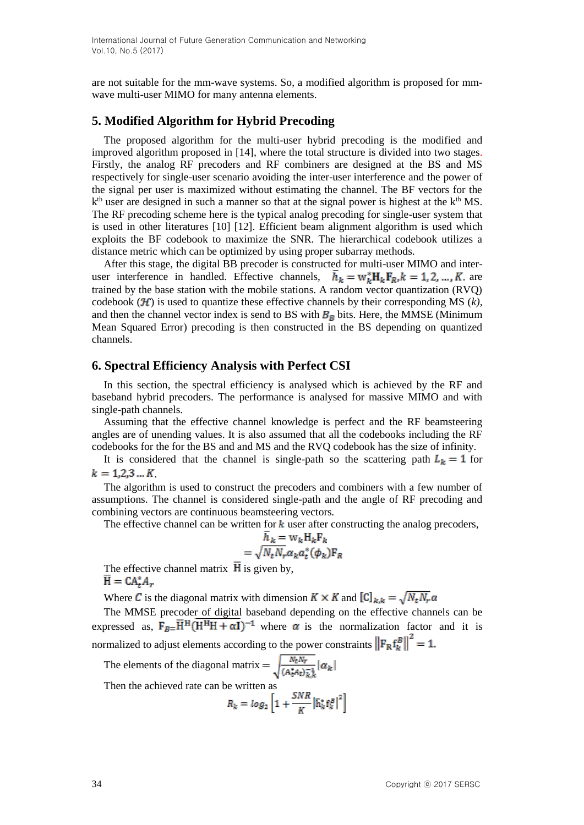are not suitable for the mm-wave systems. So, a modified algorithm is proposed for mmwave multi-user MIMO for many antenna elements.

# **5. Modified Algorithm for Hybrid Precoding**

The proposed algorithm for the multi-user hybrid precoding is the modified and improved algorithm proposed in [14], where the total structure is divided into two stages. Firstly, the analog RF precoders and RF combiners are designed at the BS and MS respectively for single-user scenario avoiding the inter-user interference and the power of the signal per user is maximized without estimating the channel. The BF vectors for the  $k<sup>th</sup>$  user are designed in such a manner so that at the signal power is highest at the  $k<sup>th</sup>$  MS. The RF precoding scheme here is the typical analog precoding for single-user system that is used in other literatures [10] [12]. Efficient beam alignment algorithm is used which exploits the BF codebook to maximize the SNR. The hierarchical codebook utilizes a distance metric which can be optimized by using proper subarray methods.

After this stage, the digital BB precoder is constructed for multi-user MIMO and interuser interference in handled. Effective channels,  $\overline{h}_k = w_k^* H_k F_R, k = 1, 2, ..., K$  are trained by the base station with the mobile stations. A random vector quantization (RVQ) codebook  $(H)$  is used to quantize these effective channels by their corresponding MS  $(k)$ , and then the channel vector index is send to BS with  $B<sub>B</sub>$  bits. Here, the MMSE (Minimum Mean Squared Error) precoding is then constructed in the BS depending on quantized channels.

### **6. Spectral Efficiency Analysis with Perfect CSI**

In this section, the spectral efficiency is analysed which is achieved by the RF and baseband hybrid precoders. The performance is analysed for massive MIMO and with single-path channels.

Assuming that the effective channel knowledge is perfect and the RF beamsteering angles are of unending values. It is also assumed that all the codebooks including the RF codebooks for the for the BS and and MS and the RVQ codebook has the size of infinity.

It is considered that the channel is single-path so the scattering path  $L_k = 1$  for  $k = 1, 2, 3 \dots K$ 

The algorithm is used to construct the precoders and combiners with a few number of assumptions. The channel is considered single-path and the angle of RF precoding and combining vectors are continuous beamsteering vectors.

The effective channel can be written for  $k$  user after constructing the analog precoders,

$$
h_k = w_k H_k F_k
$$

$$
= \sqrt{N_t N_r} \alpha_k a_t^* (\phi_k) F_R
$$

The effective channel matrix  $\overline{H}$  is given by,  $H = CA_{t}^{*}A_{r}$ 

Where C is the diagonal matrix with dimension  $K \times K$  and  $\left[\mathbb{C}\right]_{k,k} = \sqrt{N_t N_r} \alpha$ 

The MMSE precoder of digital baseband depending on the effective channels can be expressed as,  $\mathbf{F}_{B} = \overline{H}^{H}(\overline{H^{H}H + \alpha I})^{-1}$  where  $\alpha$  is the normalization factor and it is normalized to adjust elements according to the power constraints  $\left\| \mathbf{F}_{\mathbf{R}} \mathbf{f}_{k}^{B} \right\|^{2} = 1$ .

The elements of the diagonal matrix  $=$   $\sqrt{\frac{N_t N_r}{(A_t^* A_t) \bar{k}_k^2}} |\alpha_k|$ 

Then the achieved rate can be written as

$$
R_k = \log_2\left[1 + \frac{SNR}{K} |\bar{\mathbf{h}}_k^* \mathbf{f}_k^B|^2\right]
$$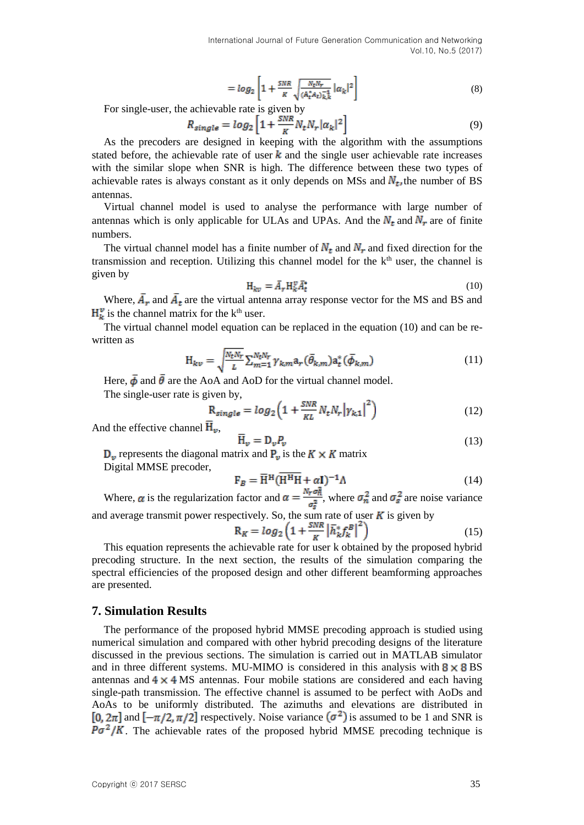$$
= \log_2 \left[ 1 + \frac{SNR}{K} \sqrt{\frac{N_t N_r}{(A_t^* A_t)_{k,k}^{-1}}} |\alpha_k|^2 \right] \tag{8}
$$

For single-user, the achievable rate is given by

$$
R_{single} = log_2 \left[ 1 + \frac{SNR}{K} N_t N_r |\alpha_k|^2 \right] \tag{9}
$$

As the precoders are designed in keeping with the algorithm with the assumptions stated before, the achievable rate of user  $k$  and the single user achievable rate increases with the similar slope when SNR is high. The difference between these two types of achievable rates is always constant as it only depends on MSs and  $N_t$ , the number of BS antennas.

Virtual channel model is used to analyse the performance with large number of antennas which is only applicable for ULAs and UPAs. And the  $N_t$  and  $N_r$  are of finite numbers.

The virtual channel model has a finite number of  $N_t$  and  $N_r$  and fixed direction for the transmission and reception. Utilizing this channel model for the  $k<sup>th</sup>$  user, the channel is given by

$$
H_{kv} = \bar{A}_r H_k^v \bar{A}_t^* \tag{10}
$$

Where,  $\bar{A}_r$  and  $\bar{A}_t$  are the virtual antenna array response vector for the MS and BS and  $\mathbf{H}_{k}^{\nu}$  is the channel matrix for the k<sup>th</sup> user.

The virtual channel model equation can be replaced in the equation (10) and can be rewritten as

$$
H_{kv} = \sqrt{\frac{N_t N_r}{L}} \sum_{m=1}^{N_t N_r} \gamma_{km} a_r(\bar{\theta}_{k,m}) a_t^*(\bar{\phi}_{k,m})
$$
(11)

Here,  $\bar{\phi}$  and  $\bar{\theta}$  are the AoA and AoD for the virtual channel model.

The single-user rate is given by,

$$
R_{single} = log_2 \left( 1 + \frac{SNR}{KL} N_t N_r \left| \gamma_{k,1} \right|^2 \right) \tag{12}
$$

And the effective channel  $H_{\nu}$ ,

$$
\overline{\mathbf{H}}_{v} = \mathbf{D}_{v} P_{v} \tag{13}
$$

 $D_v$  represents the diagonal matrix and  $P_v$  is the  $K \times K$  matrix Digital MMSE precoder,

$$
\mathbf{F}_B = \overline{\mathbf{H}}^{\mathrm{H}} (\overline{\mathbf{H}^{\mathrm{H}} \mathbf{H}} + \alpha \mathbf{I})^{-1} \Lambda \tag{14}
$$

Where,  $\alpha$  is the regularization factor and  $\alpha = \frac{Nr\sigma_{\overline{n}}}{\sigma_s^2}$ , where  $\sigma_n^2$  and  $\sigma_s^2$  are noise variance and average transmit power respectively. So, the sum rate of user  $\boldsymbol{K}$  is given by

$$
R_K = \log_2\left(1 + \frac{SNR}{K} \left| \bar{h}_k^* f_k^B \right|^2\right) \tag{15}
$$

This equation represents the achievable rate for user k obtained by the proposed hybrid precoding structure. In the next section, the results of the simulation comparing the spectral efficiencies of the proposed design and other different beamforming approaches are presented.

#### **7. Simulation Results**

The performance of the proposed hybrid MMSE precoding approach is studied using numerical simulation and compared with other hybrid precoding designs of the literature discussed in the previous sections. The simulation is carried out in MATLAB simulator and in three different systems. MU-MIMO is considered in this analysis with  $8 \times 8$  BS antennas and  $4 \times 4$  MS antennas. Four mobile stations are considered and each having single-path transmission. The effective channel is assumed to be perfect with AoDs and AoAs to be uniformly distributed. The azimuths and elevations are distributed in [0,  $2\pi$ ] and  $[-\pi/2, \pi/2]$  respectively. Noise variance  $(\sigma^2)$  is assumed to be 1 and SNR is  $P\sigma^2/K$ . The achievable rates of the proposed hybrid MMSE precoding technique is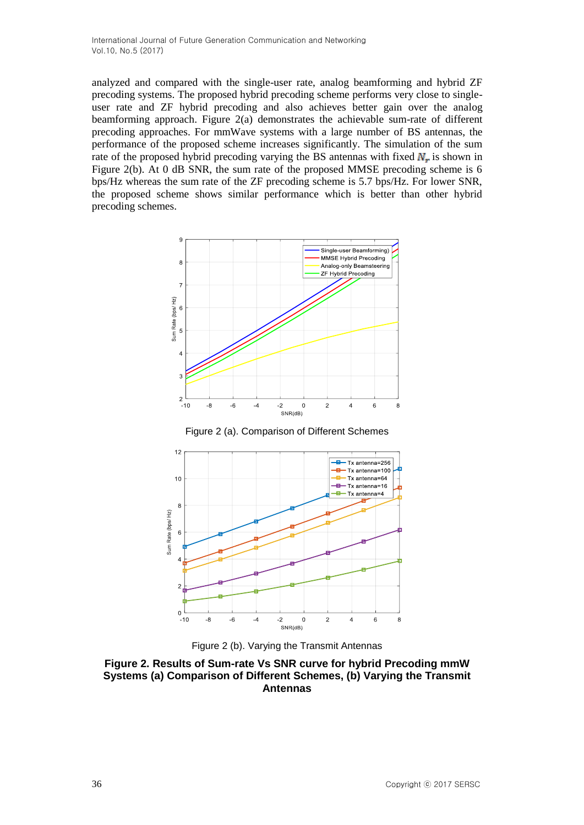analyzed and compared with the single-user rate, analog beamforming and hybrid ZF precoding systems. The proposed hybrid precoding scheme performs very close to singleuser rate and ZF hybrid precoding and also achieves better gain over the analog beamforming approach. Figure 2(a) demonstrates the achievable sum-rate of different precoding approaches. For mmWave systems with a large number of BS antennas, the performance of the proposed scheme increases significantly. The simulation of the sum rate of the proposed hybrid precoding varying the BS antennas with fixed  $N_r$  is shown in Figure 2(b). At 0 dB SNR, the sum rate of the proposed MMSE precoding scheme is 6 bps/Hz whereas the sum rate of the ZF precoding scheme is 5.7 bps/Hz. For lower SNR, the proposed scheme shows similar performance which is better than other hybrid precoding schemes.



Figure 2 (a). Comparison of Different Schemes





**Figure 2. Results of Sum-rate Vs SNR curve for hybrid Precoding mmW Systems (a) Comparison of Different Schemes, (b) Varying the Transmit Antennas**